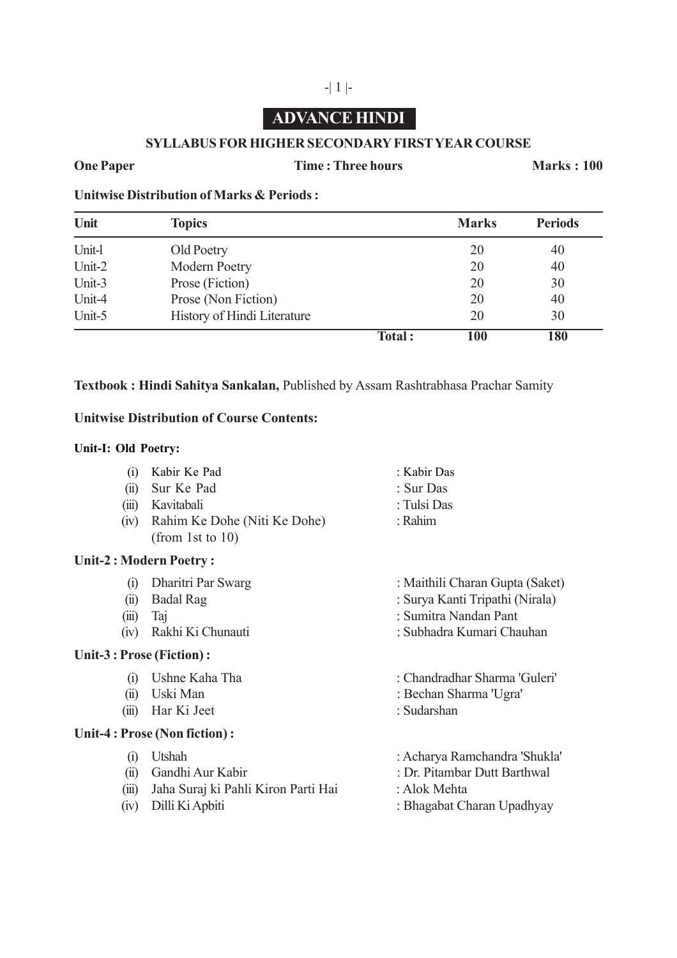# **ADVANCE HINDI**

## **SYLLABUS FOR HIGHER SECONDARY FIRST YEAR COURSE**

## **One Paper Time : Three hours Marks : 100**

**Unitwise Distribution of Marks & Periods :**

| Unit   | <b>Topics</b>               |        | <b>Marks</b> | <b>Periods</b> |
|--------|-----------------------------|--------|--------------|----------------|
| Unit-l | Old Poetry                  |        | 20           | 40             |
| Unit-2 | Modern Poetry               |        | 20           | 40             |
| Unit-3 | Prose (Fiction)             |        | 20           | 30             |
| Unit-4 | Prose (Non Fiction)         |        | 20           | 40             |
| Unit-5 | History of Hindi Literature |        | 20           | 30             |
|        |                             | Total: | 100          | 180            |

## **Textbook : Hindi Sahitya Sankalan,** Published by Assam Rashtrabhasa Prachar Samity

## **Unitwise Distribution of Course Contents:**

### **Unit-I: Old Poetry:**

- (i) Kabir Ke Pad : Kabir Das
- (ii) Sur Ke Pad : Sur Das
- (iii) Kavitabali : Tulsi Das
- (iv) Rahim Ke Dohe (Niti Ke Dohe) : Rahim (from 1st to 10)

## **Unit-2 : Modern Poetry :**

- 
- 
- 
- 

## **Unit-3 : Prose (Fiction) :**

- 
- 
- (iii) Har Ki Jeet : Sudarshan

## **Unit-4 : Prose (Non fiction) :**

- 
- 
- (iii) Jaha Suraj ki Pahli Kiron Parti Hai : Alok Mehta
- 
- 
- 
- (i) Dharitri Par Swarg : Maithili Charan Gupta (Saket)
- (ii) Badal Rag : Surya Kanti Tripathi (Nirala)
- (iii) Taj : Sumitra Nandan Pant
- (iv) Rakhi Ki Chunauti : Subhadra Kumari Chauhan
- (i) Ushne Kaha Tha : Chandradhar Sharma 'Guleri'
- (ii) Uski Man : Bechan Sharma 'Ugra'
	-
- (i) Utshah : Acharya Ramchandra 'Shukla'
- (ii) Gandhi Aur Kabir : Dr. Pitambar Dutt Barthwal
	-
- (iv) Dilli Ki Apbiti : Bhagabat Charan Upadhyay